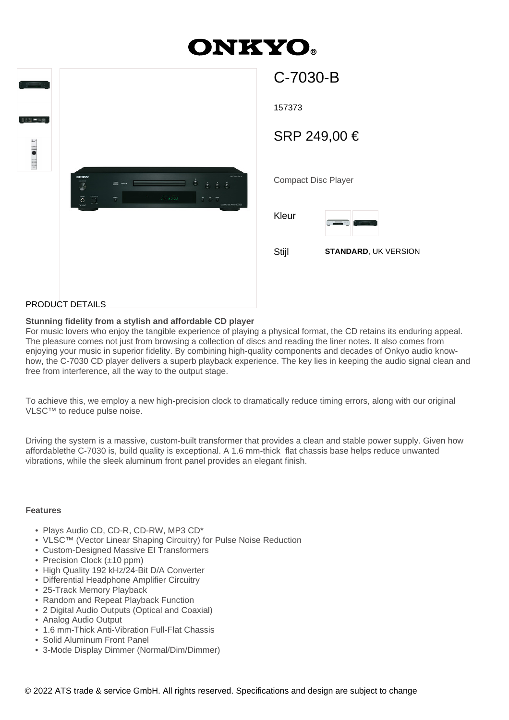# **DNKYO®**

| $\frac{1}{2}$ , $\frac{1}{2}$ , $\frac{1}{2}$ , $\frac{1}{2}$ , $\frac{1}{2}$ , $\frac{1}{2}$ , $\frac{1}{2}$ , $\frac{1}{2}$<br><b>000 - 四</b><br><b>Elle</b> em |                                                                                                                                                                                                                                                                                                                                                                                                                                                                                                                  |  |
|-------------------------------------------------------------------------------------------------------------------------------------------------------------------|------------------------------------------------------------------------------------------------------------------------------------------------------------------------------------------------------------------------------------------------------------------------------------------------------------------------------------------------------------------------------------------------------------------------------------------------------------------------------------------------------------------|--|
|                                                                                                                                                                   | <b>ONEYO</b><br><b>PROTECTION</b><br>0.500<br><b>IN</b> wea<br>$\overline{\mathcal{L}}$<br>$\overline{0}$<br>$\overline{\phantom{a}}\qquad \qquad 2\overline{1}\cdot 6\overline{2}\,\overline{2}2$<br>$\blacklozenge$<br>$\overline{\odot}$<br>5.5.7<br>e e de la construcción de la construcción de la construcción de la construcción de la construcción de la const<br>A la construcción de la construcción de la construcción de la construcción de la construcción de la construcció<br>соммотовские 0-7030 |  |

| C-7030-B                   |                             |  |  |
|----------------------------|-----------------------------|--|--|
| 157373                     |                             |  |  |
| SRP 249,00 €               |                             |  |  |
|                            |                             |  |  |
| <b>Compact Disc Player</b> |                             |  |  |
| Kleur                      | L <sub>i</sub>              |  |  |
| Stijl                      | <b>STANDARD, UK VERSION</b> |  |  |
|                            |                             |  |  |
|                            |                             |  |  |

### PRODUCT DETAILS

#### **Stunning fidelity from a stylish and affordable CD player**

For music lovers who enjoy the tangible experience of playing a physical format, the CD retains its enduring appeal. The pleasure comes not just from browsing a collection of discs and reading the liner notes. It also comes from enjoying your music in superior fidelity. By combining high-quality components and decades of Onkyo audio knowhow, the C-7030 CD player delivers a superb playback experience. The key lies in keeping the audio signal clean and free from interference, all the way to the output stage.

To achieve this, we employ a new high-precision clock to dramatically reduce timing errors, along with our original VLSC™ to reduce pulse noise.

Driving the system is a massive, custom-built transformer that provides a clean and stable power supply. Given how affordablethe C-7030 is, build quality is exceptional. A 1.6 mm-thick flat chassis base helps reduce unwanted vibrations, while the sleek aluminum front panel provides an elegant finish.

### **Features**

- Plays Audio CD, CD-R, CD-RW, MP3 CD\*
- VLSC™ (Vector Linear Shaping Circuitry) for Pulse Noise Reduction
- Custom-Designed Massive EI Transformers
- Precision Clock (±10 ppm)
- High Quality 192 kHz/24-Bit D/A Converter
- Differential Headphone Amplifier Circuitry
- 25-Track Memory Playback
- Random and Repeat Playback Function
- 2 Digital Audio Outputs (Optical and Coaxial)
- Analog Audio Output
- 1.6 mm-Thick Anti-Vibration Full-Flat Chassis
- Solid Aluminum Front Panel
- 3-Mode Display Dimmer (Normal/Dim/Dimmer)